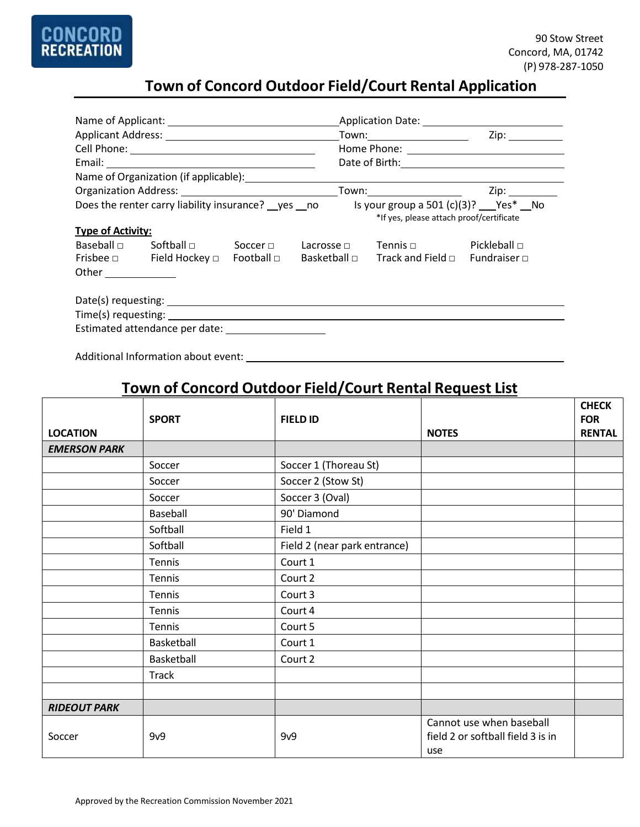

# **Town of Concord Outdoor Field/Court Rental Application**

|                                                                                             |                                          |  |  | Application Date: 1999 March 2014 March 2014 March 2014 March 2014 March 2014 March 2014 March 2014 March 2014 |                   |  |  |
|---------------------------------------------------------------------------------------------|------------------------------------------|--|--|----------------------------------------------------------------------------------------------------------------|-------------------|--|--|
|                                                                                             |                                          |  |  |                                                                                                                | Zip:              |  |  |
|                                                                                             |                                          |  |  |                                                                                                                |                   |  |  |
|                                                                                             |                                          |  |  | Date of Birth: 2000 and 2010 and 2010 and 2010 and 2010 and 2010 and 2010 and 2010 and 2010 and 2010 and 2010  |                   |  |  |
|                                                                                             |                                          |  |  |                                                                                                                |                   |  |  |
|                                                                                             |                                          |  |  |                                                                                                                |                   |  |  |
| Is your group a 501 $(c)(3)$ ? Yes* No<br>Does the renter carry liability insurance? yes no |                                          |  |  |                                                                                                                |                   |  |  |
|                                                                                             | *If yes, please attach proof/certificate |  |  |                                                                                                                |                   |  |  |
| <b>Type of Activity:</b>                                                                    |                                          |  |  |                                                                                                                |                   |  |  |
|                                                                                             |                                          |  |  | $\mathsf{Baseball} \ \Box$ Softball $\Box$ Soccer $\Box$ Lacrosse $\Box$ Tennis $\Box$                         | Pickleball $\Box$ |  |  |
|                                                                                             |                                          |  |  | Frisbee $\Box$ Field Hockey $\Box$ Football $\Box$ Basketball $\Box$ Track and Field $\Box$ Fundraiser $\Box$  |                   |  |  |
| Other $\qquad$                                                                              |                                          |  |  |                                                                                                                |                   |  |  |
|                                                                                             |                                          |  |  |                                                                                                                |                   |  |  |
|                                                                                             |                                          |  |  |                                                                                                                |                   |  |  |
|                                                                                             |                                          |  |  |                                                                                                                |                   |  |  |
| Estimated attendance per date: _______________________                                      |                                          |  |  |                                                                                                                |                   |  |  |

Additional Information about event:

## **Town of Concord Outdoor Field/Court Rental Request List**

|                     | <b>SPORT</b> | <b>FIELD ID</b>              |                                                                      | <b>CHECK</b><br><b>FOR</b> |
|---------------------|--------------|------------------------------|----------------------------------------------------------------------|----------------------------|
| <b>LOCATION</b>     |              |                              | <b>NOTES</b>                                                         | <b>RENTAL</b>              |
| <b>EMERSON PARK</b> |              |                              |                                                                      |                            |
|                     | Soccer       | Soccer 1 (Thoreau St)        |                                                                      |                            |
|                     | Soccer       | Soccer 2 (Stow St)           |                                                                      |                            |
|                     | Soccer       | Soccer 3 (Oval)              |                                                                      |                            |
|                     | Baseball     | 90' Diamond                  |                                                                      |                            |
|                     | Softball     | Field 1                      |                                                                      |                            |
|                     | Softball     | Field 2 (near park entrance) |                                                                      |                            |
|                     | Tennis       | Court 1                      |                                                                      |                            |
|                     | Tennis       | Court 2                      |                                                                      |                            |
|                     | Tennis       | Court 3                      |                                                                      |                            |
|                     | Tennis       | Court 4                      |                                                                      |                            |
|                     | Tennis       | Court 5                      |                                                                      |                            |
|                     | Basketball   | Court 1                      |                                                                      |                            |
|                     | Basketball   | Court 2                      |                                                                      |                            |
|                     | <b>Track</b> |                              |                                                                      |                            |
|                     |              |                              |                                                                      |                            |
| <b>RIDEOUT PARK</b> |              |                              |                                                                      |                            |
| Soccer              | 9v9          | 9v9                          | Cannot use when baseball<br>field 2 or softball field 3 is in<br>use |                            |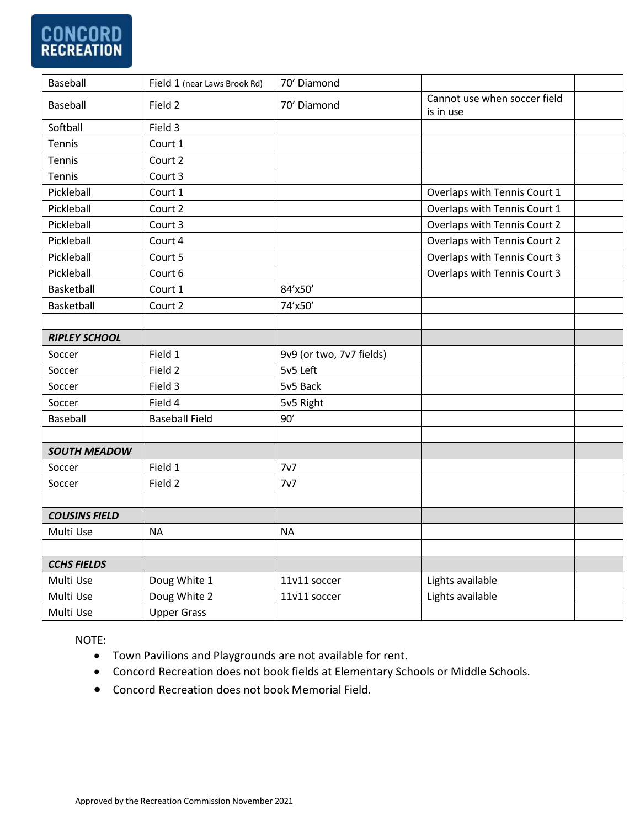# **CONCORD**<br>RECREATION

| Baseball             | Field 1 (near Laws Brook Rd) | 70' Diamond              |                                           |  |
|----------------------|------------------------------|--------------------------|-------------------------------------------|--|
| Baseball             | Field 2                      | 70' Diamond              | Cannot use when soccer field<br>is in use |  |
| Softball             | Field 3                      |                          |                                           |  |
| Tennis               | Court 1                      |                          |                                           |  |
| Tennis               | Court 2                      |                          |                                           |  |
| Tennis               | Court 3                      |                          |                                           |  |
| Pickleball           | Court 1                      |                          | Overlaps with Tennis Court 1              |  |
| Pickleball           | Court 2                      |                          | Overlaps with Tennis Court 1              |  |
| Pickleball           | Court 3                      |                          | Overlaps with Tennis Court 2              |  |
| Pickleball           | Court 4                      |                          | Overlaps with Tennis Court 2              |  |
| Pickleball           | Court 5                      |                          | Overlaps with Tennis Court 3              |  |
| Pickleball           | Court 6                      |                          | Overlaps with Tennis Court 3              |  |
| Basketball           | Court 1                      | 84'x50'                  |                                           |  |
| Basketball           | Court 2                      | 74'x50'                  |                                           |  |
|                      |                              |                          |                                           |  |
| <b>RIPLEY SCHOOL</b> |                              |                          |                                           |  |
| Soccer               | Field 1                      | 9v9 (or two, 7v7 fields) |                                           |  |
| Soccer               | Field 2                      | 5v5 Left                 |                                           |  |
| Soccer               | Field 3                      | 5v5 Back                 |                                           |  |
| Soccer               | Field 4                      | 5v5 Right                |                                           |  |
| Baseball             | <b>Baseball Field</b>        | 90'                      |                                           |  |
|                      |                              |                          |                                           |  |
| <b>SOUTH MEADOW</b>  |                              |                          |                                           |  |
| Soccer               | Field 1                      | 7v7                      |                                           |  |
| Soccer               | Field 2                      | 7v7                      |                                           |  |
|                      |                              |                          |                                           |  |
| <b>COUSINS FIELD</b> |                              |                          |                                           |  |
| Multi Use            | <b>NA</b>                    | <b>NA</b>                |                                           |  |
|                      |                              |                          |                                           |  |
| <b>CCHS FIELDS</b>   |                              |                          |                                           |  |
| Multi Use            | Doug White 1                 | 11v11 soccer             | Lights available                          |  |
| Multi Use            | Doug White 2                 | 11v11 soccer             | Lights available                          |  |
| Multi Use            | <b>Upper Grass</b>           |                          |                                           |  |

NOTE:

- Town Pavilions and Playgrounds are not available for rent.
- Concord Recreation does not book fields at Elementary Schools or Middle Schools.
- Concord Recreation does not book Memorial Field.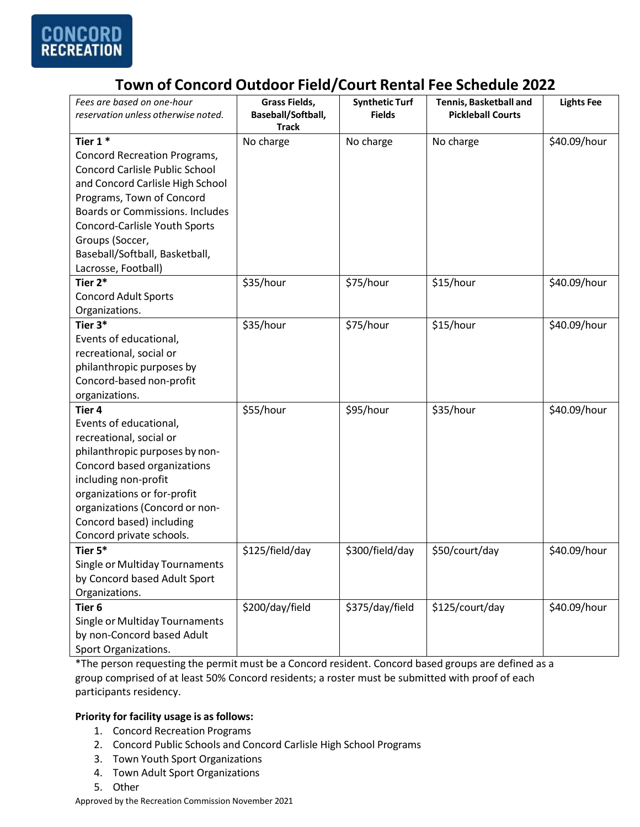

## **Town of Concord Outdoor Field/Court Rental Fee Schedule 2022**

| Fees are based on one-hour<br>reservation unless otherwise noted. | Grass Fields,<br>Baseball/Softball,<br><b>Track</b> | <b>Synthetic Turf</b><br><b>Fields</b> | <b>Tennis, Basketball and</b><br><b>Pickleball Courts</b> | <b>Lights Fee</b> |
|-------------------------------------------------------------------|-----------------------------------------------------|----------------------------------------|-----------------------------------------------------------|-------------------|
| Tier $1*$                                                         | No charge                                           | No charge                              | No charge                                                 | \$40.09/hour      |
| <b>Concord Recreation Programs,</b>                               |                                                     |                                        |                                                           |                   |
| <b>Concord Carlisle Public School</b>                             |                                                     |                                        |                                                           |                   |
| and Concord Carlisle High School                                  |                                                     |                                        |                                                           |                   |
| Programs, Town of Concord                                         |                                                     |                                        |                                                           |                   |
| Boards or Commissions. Includes                                   |                                                     |                                        |                                                           |                   |
| <b>Concord-Carlisle Youth Sports</b>                              |                                                     |                                        |                                                           |                   |
| Groups (Soccer,                                                   |                                                     |                                        |                                                           |                   |
| Baseball/Softball, Basketball,                                    |                                                     |                                        |                                                           |                   |
| Lacrosse, Football)                                               |                                                     |                                        |                                                           |                   |
| Tier 2*                                                           | \$35/hour                                           | \$75/hour                              | \$15/hour                                                 | \$40.09/hour      |
| <b>Concord Adult Sports</b>                                       |                                                     |                                        |                                                           |                   |
| Organizations.                                                    |                                                     |                                        |                                                           |                   |
| Tier 3*                                                           | \$35/hour                                           | \$75/hour                              | \$15/hour                                                 | \$40.09/hour      |
| Events of educational,                                            |                                                     |                                        |                                                           |                   |
| recreational, social or                                           |                                                     |                                        |                                                           |                   |
| philanthropic purposes by                                         |                                                     |                                        |                                                           |                   |
| Concord-based non-profit                                          |                                                     |                                        |                                                           |                   |
| organizations.                                                    |                                                     |                                        |                                                           |                   |
| Tier <sub>4</sub>                                                 | \$55/hour                                           | \$95/hour                              | \$35/hour                                                 | \$40.09/hour      |
| Events of educational,                                            |                                                     |                                        |                                                           |                   |
| recreational, social or                                           |                                                     |                                        |                                                           |                   |
| philanthropic purposes by non-                                    |                                                     |                                        |                                                           |                   |
| Concord based organizations                                       |                                                     |                                        |                                                           |                   |
| including non-profit                                              |                                                     |                                        |                                                           |                   |
| organizations or for-profit                                       |                                                     |                                        |                                                           |                   |
| organizations (Concord or non-                                    |                                                     |                                        |                                                           |                   |
| Concord based) including                                          |                                                     |                                        |                                                           |                   |
| Concord private schools.                                          |                                                     |                                        |                                                           |                   |
| Tier 5*                                                           | \$125/field/day                                     | \$300/field/day                        | \$50/court/day                                            | \$40.09/hour      |
| Single or Multiday Tournaments                                    |                                                     |                                        |                                                           |                   |
| by Concord based Adult Sport                                      |                                                     |                                        |                                                           |                   |
| Organizations.                                                    |                                                     |                                        |                                                           |                   |
| Tier <sub>6</sub>                                                 | \$200/day/field                                     | \$375/day/field                        | \$125/court/day                                           | \$40.09/hour      |
| Single or Multiday Tournaments                                    |                                                     |                                        |                                                           |                   |
| by non-Concord based Adult                                        |                                                     |                                        |                                                           |                   |
| Sport Organizations.                                              |                                                     |                                        |                                                           |                   |

\*The person requesting the permit must be a Concord resident. Concord based groups are defined as a group comprised of at least 50% Concord residents; a roster must be submitted with proof of each participants residency.

#### **Priority for facility usage is as follows:**

- 1. Concord Recreation Programs
- 2. Concord Public Schools and Concord Carlisle High School Programs
- 3. Town Youth Sport Organizations
- 4. Town Adult Sport Organizations
- 5. Other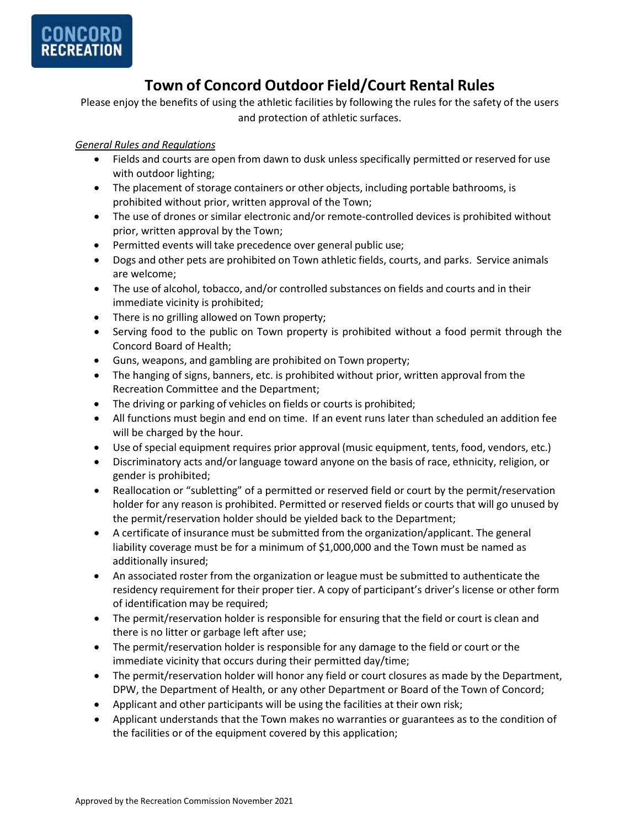

## **Town of Concord Outdoor Field/Court Rental Rules**

Please enjoy the benefits of using the athletic facilities by following the rules for the safety of the users and protection of athletic surfaces.

### *General Rules and Regulations*

- Fields and courts are open from dawn to dusk unless specifically permitted or reserved for use with outdoor lighting;
- The placement of storage containers or other objects, including portable bathrooms, is prohibited without prior, written approval of the Town;
- The use of drones or similar electronic and/or remote-controlled devices is prohibited without prior, written approval by the Town;
- Permitted events will take precedence over general public use;
- Dogs and other pets are prohibited on Town athletic fields, courts, and parks. Service animals are welcome;
- The use of alcohol, tobacco, and/or controlled substances on fields and courts and in their immediate vicinity is prohibited;
- There is no grilling allowed on Town property;
- Serving food to the public on Town property is prohibited without a food permit through the Concord Board of Health;
- Guns, weapons, and gambling are prohibited on Town property;
- The hanging of signs, banners, etc. is prohibited without prior, written approval from the Recreation Committee and the Department;
- The driving or parking of vehicles on fields or courts is prohibited;
- All functions must begin and end on time. If an event runs later than scheduled an addition fee will be charged by the hour.
- Use of special equipment requires prior approval (music equipment, tents, food, vendors, etc.)
- Discriminatory acts and/or language toward anyone on the basis of race, ethnicity, religion, or gender is prohibited;
- Reallocation or "subletting" of a permitted or reserved field or court by the permit/reservation holder for any reason is prohibited. Permitted or reserved fields or courts that will go unused by the permit/reservation holder should be yielded back to the Department;
- A certificate of insurance must be submitted from the organization/applicant. The general liability coverage must be for a minimum of \$1,000,000 and the Town must be named as additionally insured;
- An associated roster from the organization or league must be submitted to authenticate the residency requirement for their proper tier. A copy of participant's driver's license or other form of identification may be required;
- The permit/reservation holder is responsible for ensuring that the field or court is clean and there is no litter or garbage left after use;
- The permit/reservation holder is responsible for any damage to the field or court or the immediate vicinity that occurs during their permitted day/time;
- The permit/reservation holder will honor any field or court closures as made by the Department, DPW, the Department of Health, or any other Department or Board of the Town of Concord;
- Applicant and other participants will be using the facilities at their own risk;
- Applicant understands that the Town makes no warranties or guarantees as to the condition of the facilities or of the equipment covered by this application;